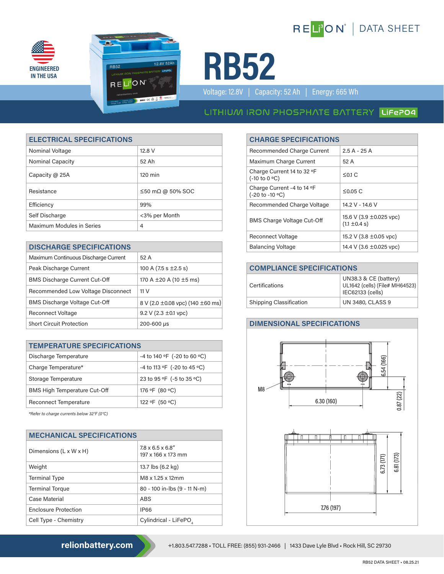





Voltage: 12.8V | Capacity: 52 Ah | Energy: 665 Wh

# LITHIUM IRON PHOSPHATE BATTERY LIFEPO4

| <b>ELECTRICAL SPECIFICATIONS</b> |                                | <b>CHARGE SPECIFICATIONS</b>                  |                                                                                        |                 |
|----------------------------------|--------------------------------|-----------------------------------------------|----------------------------------------------------------------------------------------|-----------------|
| Nominal Voltage                  | 12.8 V                         | <b>Recommended Charge Current</b>             |                                                                                        | $2.5A - 25A$    |
| <b>Nominal Capacity</b>          | 52 Ah                          | Maximum Charge Current                        |                                                                                        | 52 A            |
| Capacity @ 25A                   | $120 \text{ min}$              | Charge Current 14 to 32 °F<br>(-10 to 0 °C)   |                                                                                        | $\leq$ 0.1 C    |
| Resistance                       | $\leq$ 50 m $\Omega$ @ 50% SOC | Charge Current -4 to 14 °F<br>(-20 to -10 °C) |                                                                                        | $\leq$ 0.05 C   |
| Efficiency                       | 99%                            | Recommended Charge Voltage                    |                                                                                        | 14.2 V - 14.6 V |
| Self Discharge                   | <3% per Month                  |                                               | 15.6 V (3.9 $\pm$ 0.025 vpc)<br><b>BMS Charge Voltage Cut-Off</b><br>$(1.1 \pm 0.4 s)$ |                 |
| <b>Maximum Modules in Series</b> | 4                              |                                               |                                                                                        |                 |

| <b>DISCHARGE SPECIFICATIONS</b>      |                                            |  | <b>Balancing Voltage</b>          | 14.4 V (3.6 ±0.025 vpc)                           |
|--------------------------------------|--------------------------------------------|--|-----------------------------------|---------------------------------------------------|
| Maximum Continuous Discharge Current | 52 A                                       |  |                                   |                                                   |
| Peak Discharge Current               | 100 A $(7.5 s \pm 2.5 s)$                  |  | <b>COMPLIANCE SPECIFICATIONS</b>  |                                                   |
| <b>BMS Discharge Current Cut-Off</b> | 170 A $\pm$ 20 A (10 $\pm$ 5 ms)           |  | Certifications                    | UN38.3 & CE (battery)<br>UL1642 (cells) (File# MH |
| Recommended Low Voltage Disconnect   | 11 <sub>V</sub>                            |  |                                   | IEC62133 (cells)                                  |
| <b>BMS Discharge Voltage Cut-Off</b> | 8 V (2.0 $\pm$ 0.08 vpc) (140 $\pm$ 60 ms) |  | <b>Shipping Classification</b>    | <b>UN 3480, CLASS 9</b>                           |
| <b>Reconnect Voltage</b>             | 9.2 V (2.3 $\pm$ 0.1 vpc)                  |  |                                   |                                                   |
| <b>Short Circuit Protection</b>      | 200-600 µs                                 |  | <b>DIMENSIONAL SPECIFICATIONS</b> |                                                   |

| <b>TEMPERATURE SPECIFICATIONS</b>   |                             |  |
|-------------------------------------|-----------------------------|--|
| Discharge Temperature               | -4 to 140 °F (-20 to 60 °C) |  |
| Charge Temperature*                 | -4 to 113 °F (-20 to 45 °C) |  |
| Storage Temperature                 | 23 to 95 °F (-5 to 35 °C)   |  |
| <b>BMS High Temperature Cut-Off</b> | 176 °F (80 °C)              |  |
| <b>Reconnect Temperature</b>        | 122 °F (50 °C)              |  |

*\*Refer to charge currents below 32°F (0°C)*

| <b>MECHANICAL SPECIFICATIONS</b>   |                                                     |  |
|------------------------------------|-----------------------------------------------------|--|
| Dimensions $(L \times W \times H)$ | $7.8 \times 6.5 \times 6.8$ "<br>197 x 166 x 173 mm |  |
| Weight                             | 13.7 lbs (6.2 kg)                                   |  |
| <b>Terminal Type</b>               | M8 x 1.25 x 12mm                                    |  |
| <b>Terminal Torque</b>             | 80 - 100 in-lbs (9 - 11 N-m)                        |  |
| Case Material                      | ABS                                                 |  |
| <b>Enclosure Protection</b>        | <b>IP66</b>                                         |  |
| Cell Type - Chemistry              | Cylindrical - LiFePO,                               |  |

## **ELECTRICAL SPECIFICATIONS CHARGE SPECIFICATIONS**

| <b>Recommended Charge Current</b>                                | $2.5A - 25A$                                 |
|------------------------------------------------------------------|----------------------------------------------|
| Maximum Charge Current                                           | 52 A                                         |
| Charge Current 14 to 32 °F<br>$(-10 \text{ to } 0 \text{ °C})$   | $\leq$ 0.1 C                                 |
| Charge Current -4 to 14 °F<br>$(-20 \text{ to } -10 \text{ °C})$ | $\leq$ 0.05 C                                |
| Recommended Charge Voltage                                       | 14.2 V - 14.6 V                              |
| <b>BMS Charge Voltage Cut-Off</b>                                | 15.6 V (3.9 ±0.025 vpc)<br>$(1.1 \pm 0.4 s)$ |
| <b>Reconnect Voltage</b>                                         | 15.2 V (3.8 ± 0.05 vpc)                      |
| <b>Balancing Voltage</b>                                         | 14.4 V (3.6 $\pm$ 0.025 vpc)                 |

| <b>COMPLIANCE SPECIFICATIONS</b> |                                                                             |  |
|----------------------------------|-----------------------------------------------------------------------------|--|
| Certifications                   | UN38.3 & CE (battery)<br>UL1642 (cells) (File# MH64523)<br>IEC62133 (cells) |  |
| <b>Shipping Classification</b>   | <b>UN 3480, CLASS 9</b>                                                     |  |

#### **DIMENSIONAL SPECIFICATIONS**